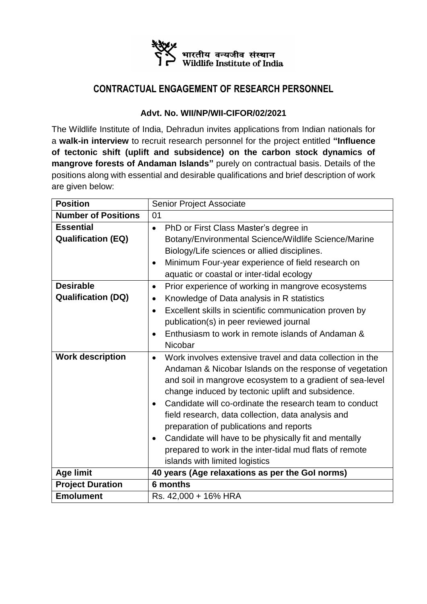

## **CONTRACTUAL ENGAGEMENT OF RESEARCH PERSONNEL**

## **Advt. No. WII/NP/WII-CIFOR/02/2021**

The Wildlife Institute of India, Dehradun invites applications from Indian nationals for a **walk-in interview** to recruit research personnel for the project entitled **"Influence of tectonic shift (uplift and subsidence) on the carbon stock dynamics of mangrove forests of Andaman Islands"** purely on contractual basis. Details of the positions along with essential and desirable qualifications and brief description of work are given below:

| <b>Position</b>            | Senior Project Associate                                                                                                                                                                                                                                                                                                                                                                                                                                                                                                                                                                        |
|----------------------------|-------------------------------------------------------------------------------------------------------------------------------------------------------------------------------------------------------------------------------------------------------------------------------------------------------------------------------------------------------------------------------------------------------------------------------------------------------------------------------------------------------------------------------------------------------------------------------------------------|
| <b>Number of Positions</b> | 01                                                                                                                                                                                                                                                                                                                                                                                                                                                                                                                                                                                              |
| <b>Essential</b>           | PhD or First Class Master's degree in<br>$\bullet$                                                                                                                                                                                                                                                                                                                                                                                                                                                                                                                                              |
| <b>Qualification (EQ)</b>  | Botany/Environmental Science/Wildlife Science/Marine                                                                                                                                                                                                                                                                                                                                                                                                                                                                                                                                            |
|                            | Biology/Life sciences or allied disciplines.                                                                                                                                                                                                                                                                                                                                                                                                                                                                                                                                                    |
|                            | Minimum Four-year experience of field research on<br>$\bullet$                                                                                                                                                                                                                                                                                                                                                                                                                                                                                                                                  |
|                            | aquatic or coastal or inter-tidal ecology                                                                                                                                                                                                                                                                                                                                                                                                                                                                                                                                                       |
| <b>Desirable</b>           | Prior experience of working in mangrove ecosystems<br>$\bullet$                                                                                                                                                                                                                                                                                                                                                                                                                                                                                                                                 |
| <b>Qualification (DQ)</b>  | Knowledge of Data analysis in R statistics<br>$\bullet$                                                                                                                                                                                                                                                                                                                                                                                                                                                                                                                                         |
|                            | Excellent skills in scientific communication proven by<br>$\bullet$                                                                                                                                                                                                                                                                                                                                                                                                                                                                                                                             |
|                            | publication(s) in peer reviewed journal                                                                                                                                                                                                                                                                                                                                                                                                                                                                                                                                                         |
|                            | Enthusiasm to work in remote islands of Andaman &<br>$\bullet$                                                                                                                                                                                                                                                                                                                                                                                                                                                                                                                                  |
|                            | Nicobar                                                                                                                                                                                                                                                                                                                                                                                                                                                                                                                                                                                         |
| <b>Work description</b>    | Work involves extensive travel and data collection in the<br>$\bullet$<br>Andaman & Nicobar Islands on the response of vegetation<br>and soil in mangrove ecosystem to a gradient of sea-level<br>change induced by tectonic uplift and subsidence.<br>Candidate will co-ordinate the research team to conduct<br>$\bullet$<br>field research, data collection, data analysis and<br>preparation of publications and reports<br>Candidate will have to be physically fit and mentally<br>$\bullet$<br>prepared to work in the inter-tidal mud flats of remote<br>islands with limited logistics |
| <b>Age limit</b>           | 40 years (Age relaxations as per the Gol norms)                                                                                                                                                                                                                                                                                                                                                                                                                                                                                                                                                 |
| <b>Project Duration</b>    | 6 months                                                                                                                                                                                                                                                                                                                                                                                                                                                                                                                                                                                        |
| <b>Emolument</b>           | Rs. 42,000 + 16% HRA                                                                                                                                                                                                                                                                                                                                                                                                                                                                                                                                                                            |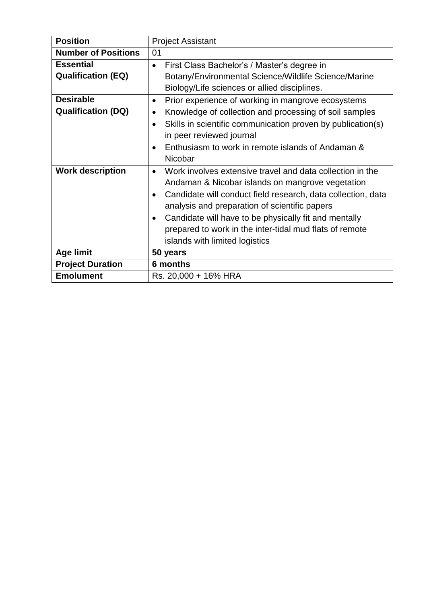| <b>Position</b>            | <b>Project Assistant</b>                                                  |
|----------------------------|---------------------------------------------------------------------------|
| <b>Number of Positions</b> | 01                                                                        |
| <b>Essential</b>           | First Class Bachelor's / Master's degree in<br>$\bullet$                  |
| <b>Qualification (EQ)</b>  | Botany/Environmental Science/Wildlife Science/Marine                      |
|                            | Biology/Life sciences or allied disciplines.                              |
| <b>Desirable</b>           | Prior experience of working in mangrove ecosystems<br>٠                   |
| <b>Qualification (DQ)</b>  | Knowledge of collection and processing of soil samples<br>$\bullet$       |
|                            | Skills in scientific communication proven by publication(s)               |
|                            | in peer reviewed journal                                                  |
|                            | Enthusiasm to work in remote islands of Andaman &<br>$\bullet$            |
|                            | Nicobar                                                                   |
| <b>Work description</b>    | Work involves extensive travel and data collection in the<br>$\bullet$    |
|                            | Andaman & Nicobar islands on mangrove vegetation                          |
|                            | Candidate will conduct field research, data collection, data<br>$\bullet$ |
|                            | analysis and preparation of scientific papers                             |
|                            | Candidate will have to be physically fit and mentally<br>$\bullet$        |
|                            | prepared to work in the inter-tidal mud flats of remote                   |
|                            | islands with limited logistics                                            |
| <b>Age limit</b>           | 50 years                                                                  |
| <b>Project Duration</b>    | 6 months                                                                  |
| <b>Emolument</b>           | Rs. 20,000 + 16% HRA                                                      |